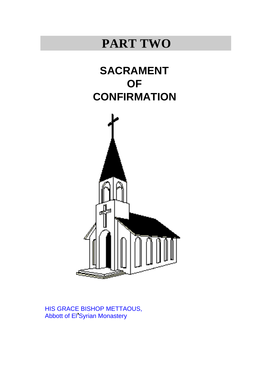# **PART TWO**





**,** HIS GRACE BISHOP METTAOUS, Abbott of El'Syrian Monastery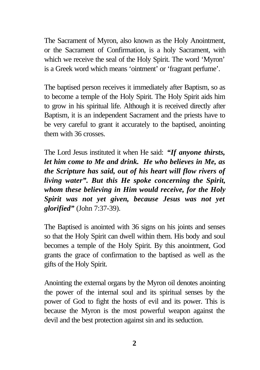The Sacrament of Myron, also known as the Holy Anointment, or the Sacrament of Confirmation, is a holy Sacrament, with which we receive the seal of the Holy Spirit. The word 'Myron' is a Greek word which means 'ointment' or 'fragrant perfume'.

The baptised person receives it immediately after Baptism, so as to become a temple of the Holy Spirit. The Holy Spirit aids him to grow in his spiritual life. Although it is received directly after Baptism, it is an independent Sacrament and the priests have to be very careful to grant it accurately to the baptised, anointing them with 36 crosses.

The Lord Jesus instituted it when He said: *"If anyone thirsts, let him come to Me and drink. He who believes in Me, as the Scripture has said, out of his heart will flow rivers of living water". But this He spoke concerning the Spirit, whom these believing in Him would receive, for the Holy Spirit was not yet given, because Jesus was not yet glorified"* (John 7:37-39).

The Baptised is anointed with 36 signs on his joints and senses so that the Holy Spirit can dwell within them. His body and soul becomes a temple of the Holy Spirit. By this anointment, God grants the grace of confirmation to the baptised as well as the gifts of the Holy Spirit.

Anointing the external organs by the Myron oil denotes anointing the power of the internal soul and its spiritual senses by the power of God to fight the hosts of evil and its power. This is because the Myron is the most powerful weapon against the devil and the best protection against sin and its seduction.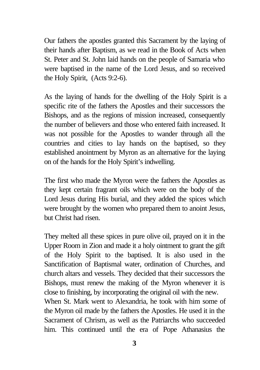Our fathers the apostles granted this Sacrament by the laying of their hands after Baptism, as we read in the Book of Acts when St. Peter and St. John laid hands on the people of Samaria who were baptised in the name of the Lord Jesus, and so received the Holy Spirit, (Acts 9:2-6).

As the laying of hands for the dwelling of the Holy Spirit is a specific rite of the fathers the Apostles and their successors the Bishops, and as the regions of mission increased, consequently the number of believers and those who entered faith increased. It was not possible for the Apostles to wander through all the countries and cities to lay hands on the baptised, so they established anointment by Myron as an alternative for the laying on of the hands for the Holy Spirit's indwelling.

The first who made the Myron were the fathers the Apostles as they kept certain fragrant oils which were on the body of the Lord Jesus during His burial, and they added the spices which were brought by the women who prepared them to anoint Jesus, but Christ had risen.

They melted all these spices in pure olive oil, prayed on it in the Upper Room in Zion and made it a holy ointment to grant the gift of the Holy Spirit to the baptised. It is also used in the Sanctification of Baptismal water, ordination of Churches, and church altars and vessels. They decided that their successors the Bishops, must renew the making of the Myron whenever it is close to finishing, by incorporating the original oil with the new. When St. Mark went to Alexandria, he took with him some of

the Myron oil made by the fathers the Apostles. He used it in the Sacrament of Chrism, as well as the Patriarchs who succeeded him. This continued until the era of Pope Athanasius the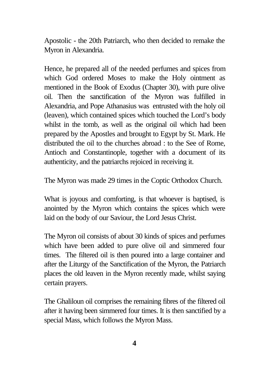Apostolic - the 20th Patriarch, who then decided to remake the Myron in Alexandria.

Hence, he prepared all of the needed perfumes and spices from which God ordered Moses to make the Holy ointment as mentioned in the Book of Exodus (Chapter 30), with pure olive oil. Then the sanctification of the Myron was fulfilled in Alexandria, and Pope Athanasius was entrusted with the holy oil (leaven), which contained spices which touched the Lord's body whilst in the tomb, as well as the original oil which had been prepared by the Apostles and brought to Egypt by St. Mark. He distributed the oil to the churches abroad : to the See of Rome, Antioch and Constantinople, together with a document of its authenticity, and the patriarchs rejoiced in receiving it.

The Myron was made 29 times in the Coptic Orthodox Church.

What is joyous and comforting, is that whoever is baptised, is anointed by the Myron which contains the spices which were laid on the body of our Saviour, the Lord Jesus Christ.

The Myron oil consists of about 30 kinds of spices and perfumes which have been added to pure olive oil and simmered four times. The filtered oil is then poured into a large container and after the Liturgy of the Sanctification of the Myron, the Patriarch places the old leaven in the Myron recently made, whilst saying certain prayers.

The Ghaliloun oil comprises the remaining fibres of the filtered oil after it having been simmered four times. It is then sanctified by a special Mass, which follows the Myron Mass.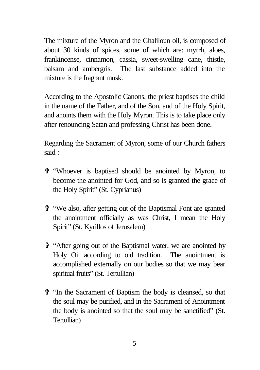The mixture of the Myron and the Ghaliloun oil, is composed of about 30 kinds of spices, some of which are: myrrh, aloes, frankincense, cinnamon, cassia, sweet-swelling cane, thistle, balsam and ambergris. The last substance added into the mixture is the fragrant musk.

According to the Apostolic Canons, the priest baptises the child in the name of the Father, and of the Son, and of the Holy Spirit, and anoints them with the Holy Myron. This is to take place only after renouncing Satan and professing Christ has been done.

Regarding the Sacrament of Myron, some of our Church fathers said :

- V "Whoever is baptised should be anointed by Myron, to become the anointed for God, and so is granted the grace of the Holy Spirit" (St. Cyprianus)
- V "We also, after getting out of the Baptismal Font are granted the anointment officially as was Christ, I mean the Holy Spirit" (St. Kyrillos of Jerusalem)
- V "After going out of the Baptismal water, we are anointed by Holy Oil according to old tradition. The anointment is accomplished externally on our bodies so that we may bear spiritual fruits" (St. Tertullian)
- V "In the Sacrament of Baptism the body is cleansed, so that the soul may be purified, and in the Sacrament of Anointment the body is anointed so that the soul may be sanctified" (St. Tertullian)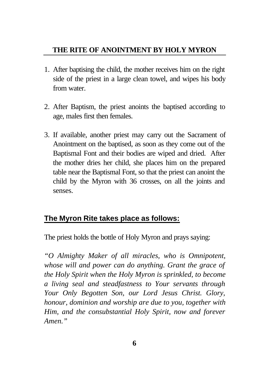## **THE RITE OF ANOINTMENT BY HOLY MYRON**

- 1. After baptising the child, the mother receives him on the right side of the priest in a large clean towel, and wipes his body from water.
- 2. After Baptism, the priest anoints the baptised according to age, males first then females.
- 3. If available, another priest may carry out the Sacrament of Anointment on the baptised, as soon as they come out of the Baptismal Font and their bodies are wiped and dried. After the mother dries her child, she places him on the prepared table near the Baptismal Font, so that the priest can anoint the child by the Myron with 36 crosses, on all the joints and senses.

## **The Myron Rite takes place as follows:**

The priest holds the bottle of Holy Myron and prays saying:

*"O Almighty Maker of all miracles, who is Omnipotent, whose will and power can do anything. Grant the grace of the Holy Spirit when the Holy Myron is sprinkled, to become a living seal and steadfastness to Your servants through Your Only Begotten Son, our Lord Jesus Christ. Glory, honour, dominion and worship are due to you, together with Him, and the consubstantial Holy Spirit, now and forever Amen."*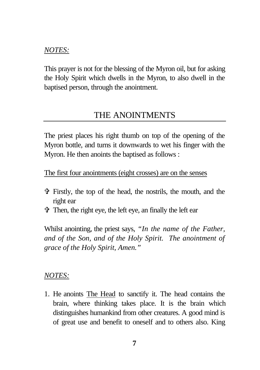#### *NOTES:*

This prayer is not for the blessing of the Myron oil, but for asking the Holy Spirit which dwells in the Myron, to also dwell in the baptised person, through the anointment.

## THE ANOINTMENTS

The priest places his right thumb on top of the opening of the Myron bottle, and turns it downwards to wet his finger with the Myron. He then anoints the baptised as follows :

The first four anointments (eight crosses) are on the senses

- V Firstly, the top of the head, the nostrils, the mouth, and the right ear
- V Then, the right eye, the left eye, an finally the left ear

Whilst anointing, the priest says, *"In the name of the Father, and of the Son, and of the Holy Spirit. The anointment of grace of the Holy Spirit, Amen."*

#### *NOTES:*

1. He anoints The Head to sanctify it. The head contains the brain, where thinking takes place. It is the brain which distinguishes humankind from other creatures. A good mind is of great use and benefit to oneself and to others also. King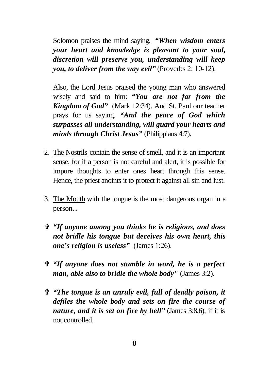Solomon praises the mind saying, *"When wisdom enters your heart and knowledge is pleasant to your soul, discretion will preserve you, understanding will keep you, to deliver from the way evil"* (Proverbs 2: 10-12).

Also, the Lord Jesus praised the young man who answered wisely and said to him: *"You are not far from the Kingdom of God"* (Mark 12:34). And St. Paul our teacher prays for us saying, *"And the peace of God which surpasses all understanding, will guard your hearts and minds through Christ Jesus"* (Philippians 4:7).

- 2. The Nostrils contain the sense of smell, and it is an important sense, for if a person is not careful and alert, it is possible for impure thoughts to enter ones heart through this sense. Hence, the priest anoints it to protect it against all sin and lust.
- 3. The Mouth with the tongue is the most dangerous organ in a person...
- V *"If anyone among you thinks he is religious, and does not bridle his tongue but deceives his own heart, this one's religion is useless"* (James 1:26).
- V *"If anyone does not stumble in word, he is a perfect man, able also to bridle the whole body"* (James 3:2).
- V *"The tongue is an unruly evil, full of deadly poison, it defiles the whole body and sets on fire the course of nature, and it is set on fire by hell"* (James 3:8,6), if it is not controlled.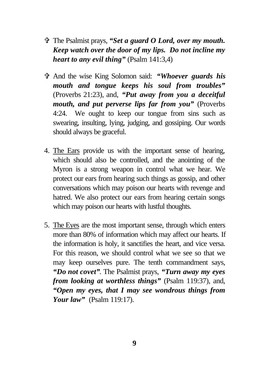- V The Psalmist prays, *"Set a guard O Lord, over my mouth. Keep watch over the door of my lips. Do not incline my heart to any evil thing"* (Psalm 141:3,4)
- V And the wise King Solomon said: *"Whoever guards his mouth and tongue keeps his soul from troubles"* (Proverbs 21:23), and, *"Put away from you a deceitful mouth, and put perverse lips far from you"* (Proverbs 4:24. We ought to keep our tongue from sins such as swearing, insulting, lying, judging, and gossiping. Our words should always be graceful.
- 4. The Ears provide us with the important sense of hearing, which should also be controlled, and the anointing of the Myron is a strong weapon in control what we hear. We protect our ears from hearing such things as gossip, and other conversations which may poison our hearts with revenge and hatred. We also protect our ears from hearing certain songs which may poison our hearts with lustful thoughts.
- 5. The Eyes are the most important sense, through which enters more than 80% of information which may affect our hearts. If the information is holy, it sanctifies the heart, and vice versa. For this reason, we should control what we see so that we may keep ourselves pure. The tenth commandment says, *"Do not covet"*. The Psalmist prays, *"Turn away my eyes from looking at worthless things"* (Psalm 119:37), and, *"Open my eyes, that I may see wondrous things from Your law"* (Psalm 119:17).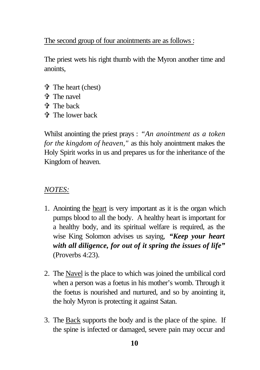#### The second group of four anointments are as follows :

The priest wets his right thumb with the Myron another time and anoints,

- $\mathbf{\hat{v}}$  The heart (chest)
- V The navel
- V The back
- $\uparrow$  The lower back

Whilst anointing the priest prays : *"An anointment as a token for the kingdom of heaven,"* as this holy anointment makes the Holy Spirit works in us and prepares us for the inheritance of the Kingdom of heaven.

## *NOTES:*

- 1. Anointing the heart is very important as it is the organ which pumps blood to all the body. A healthy heart is important for a healthy body, and its spiritual welfare is required, as the wise King Solomon advises us saying, *"Keep your heart with all diligence, for out of it spring the issues of life"* (Proverbs 4:23).
- 2. The Navel is the place to which was joined the umbilical cord when a person was a foetus in his mother's womb. Through it the foetus is nourished and nurtured, and so by anointing it, the holy Myron is protecting it against Satan.
- 3. The Back supports the body and is the place of the spine. If the spine is infected or damaged, severe pain may occur and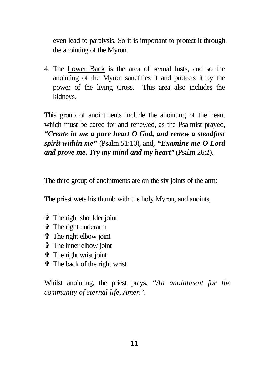even lead to paralysis. So it is important to protect it through the anointing of the Myron.

4. The Lower Back is the area of sexual lusts, and so the anointing of the Myron sanctifies it and protects it by the power of the living Cross. This area also includes the kidneys.

This group of anointments include the anointing of the heart, which must be cared for and renewed, as the Psalmist prayed, *"Create in me a pure heart O God, and renew a steadfast spirit within me"* (Psalm 51:10), and, *"Examine me O Lord and prove me. Try my mind and my heart"* (Psalm 26:2).

#### The third group of anointments are on the six joints of the arm:

The priest wets his thumb with the holy Myron, and anoints,

- V The right shoulder joint
- V The right underarm
- $\mathbf{\hat{v}}$  The right elbow joint
- V The inner elbow joint
- $\mathbf{\hat{v}}$  The right wrist joint
- $\mathbf{\hat{v}}$  The back of the right wrist

Whilst anointing, the priest prays, *"An anointment for the community of eternal life, Amen".*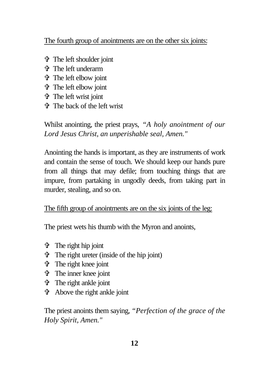#### The fourth group of anointments are on the other six joints:

- V The left shoulder joint
- V The left underarm
- V The left elbow joint
- V The left elbow joint
- V The left wrist joint
- V The back of the left wrist

Whilst anointing, the priest prays, *"A holy anointment of our Lord Jesus Christ, an unperishable seal, Amen."*

Anointing the hands is important, as they are instruments of work and contain the sense of touch. We should keep our hands pure from all things that may defile; from touching things that are impure, from partaking in ungodly deeds, from taking part in murder, stealing, and so on.

## The fifth group of anointments are on the six joints of the leg:

The priest wets his thumb with the Myron and anoints,

- $\mathbf{\hat{v}}$  The right hip joint
- $\mathbf{\hat{v}}$  The right ureter (inside of the hip joint)
- $\mathbf{\hat{v}}$  The right knee joint
- V The inner knee joint
- V The right ankle joint
- $\mathbf{\hat{v}}$  Above the right ankle joint

The priest anoints them saying, *"Perfection of the grace of the Holy Spirit, Amen."*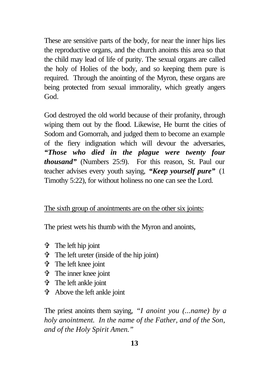These are sensitive parts of the body, for near the inner hips lies the reproductive organs, and the church anoints this area so that the child may lead of life of purity. The sexual organs are called the holy of Holies of the body, and so keeping them pure is required. Through the anointing of the Myron, these organs are being protected from sexual immorality, which greatly angers God.

God destroyed the old world because of their profanity, through wiping them out by the flood. Likewise, He burnt the cities of Sodom and Gomorrah, and judged them to become an example of the fiery indignation which will devour the adversaries, *"Those who died in the plague were twenty four thousand"* (Numbers 25:9). For this reason, St. Paul our teacher advises every youth saying, *"Keep yourself pure"* (1 Timothy 5:22), for without holiness no one can see the Lord.

#### The sixth group of anointments are on the other six joints:

The priest wets his thumb with the Myron and anoints,

- V The left hip joint
- $\mathbf{\hat{v}}$  The left ureter (inside of the hip joint)
- V The left knee joint
- V The inner knee joint
- V The left ankle joint
- V Above the left ankle joint

The priest anoints them saying, *"I anoint you (...name) by a holy anointment. In the name of the Father, and of the Son, and of the Holy Spirit Amen."*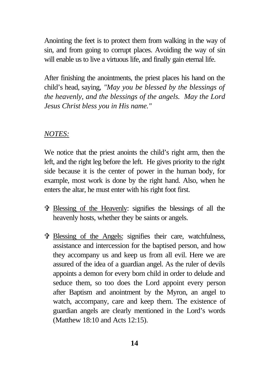Anointing the feet is to protect them from walking in the way of sin, and from going to corrupt places. Avoiding the way of sin will enable us to live a virtuous life, and finally gain eternal life.

After finishing the anointments, the priest places his hand on the child's head, saying, *"May you be blessed by the blessings of the heavenly, and the blessings of the angels. May the Lord Jesus Christ bless you in His name."*

#### *NOTES:*

We notice that the priest anoints the child's right arm, then the left, and the right leg before the left. He gives priority to the right side because it is the center of power in the human body, for example, most work is done by the right hand. Also, when he enters the altar, he must enter with his right foot first.

- V Blessing of the Heavenly: signifies the blessings of all the heavenly hosts, whether they be saints or angels.
- V Blessing of the Angels: signifies their care, watchfulness, assistance and intercession for the baptised person, and how they accompany us and keep us from all evil. Here we are assured of the idea of a guardian angel. As the ruler of devils appoints a demon for every born child in order to delude and seduce them, so too does the Lord appoint every person after Baptism and anointment by the Myron, an angel to watch, accompany, care and keep them. The existence of guardian angels are clearly mentioned in the Lord's words (Matthew 18:10 and Acts 12:15).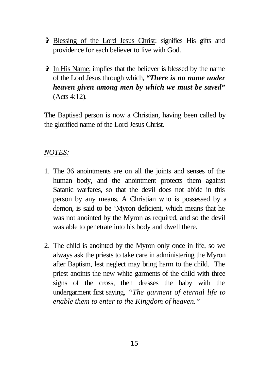- V Blessing of the Lord Jesus Christ: signifies His gifts and providence for each believer to live with God.
- V In His Name: implies that the believer is blessed by the name of the Lord Jesus through which, *"There is no name under heaven given among men by which we must be saved"* (Acts 4:12)*.*

The Baptised person is now a Christian, having been called by the glorified name of the Lord Jesus Christ.

#### *NOTES:*

- 1. The 36 anointments are on all the joints and senses of the human body, and the anointment protects them against Satanic warfares, so that the devil does not abide in this person by any means. A Christian who is possessed by a demon, is said to be 'Myron deficient, which means that he was not anointed by the Myron as required, and so the devil was able to penetrate into his body and dwell there.
- 2. The child is anointed by the Myron only once in life, so we always ask the priests to take care in administering the Myron after Baptism, lest neglect may bring harm to the child. The priest anoints the new white garments of the child with three signs of the cross, then dresses the baby with the undergarment first saying, *"The garment of eternal life to enable them to enter to the Kingdom of heaven."*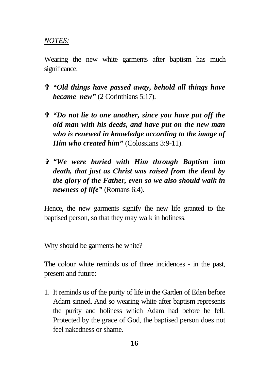#### *NOTES:*

Wearing the new white garments after baptism has much significance:

- V *"Old things have passed away, behold all things have became new"* (2 Corinthians 5:17).
- V *"Do not lie to one another, since you have put off the old man with his deeds, and have put on the new man who is renewed in knowledge according to the image of Him who created him*" (Colossians 3:9-11).
- V *"We were buried with Him through Baptism into death, that just as Christ was raised from the dead by the glory of the Father, even so we also should walk in newness of life"* (Romans 6:4).

Hence, the new garments signify the new life granted to the baptised person, so that they may walk in holiness.

#### Why should be garments be white?

The colour white reminds us of three incidences - in the past, present and future:

1. It reminds us of the purity of life in the Garden of Eden before Adam sinned. And so wearing white after baptism represents the purity and holiness which Adam had before he fell. Protected by the grace of God, the baptised person does not feel nakedness or shame.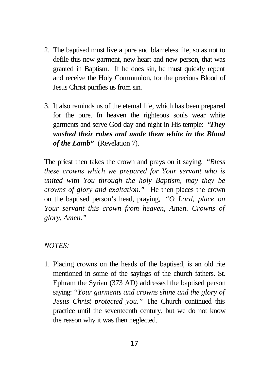- 2. The baptised must live a pure and blameless life, so as not to defile this new garment, new heart and new person, that was granted in Baptism. If he does sin, he must quickly repent and receive the Holy Communion, for the precious Blood of Jesus Christ purifies us from sin.
- 3. It also reminds us of the eternal life, which has been prepared for the pure. In heaven the righteous souls wear white garments and serve God day and night in His temple: "*They washed their robes and made them white in the Blood of the Lamb"* (Revelation 7).

The priest then takes the crown and prays on it saying, *"Bless these crowns which we prepared for Your servant who is united with You through the holy Baptism, may they be crowns of glory and exaltation."* He then places the crown on the baptised person's head, praying, *"O Lord, place on Your servant this crown from heaven, Amen. Crowns of glory, Amen."*

#### *NOTES:*

1. Placing crowns on the heads of the baptised, is an old rite mentioned in some of the sayings of the church fathers. St. Ephram the Syrian (373 AD) addressed the baptised person saying: *"Your garments and crowns shine and the glory of Jesus Christ protected you."* The Church continued this practice until the seventeenth century, but we do not know the reason why it was then neglected.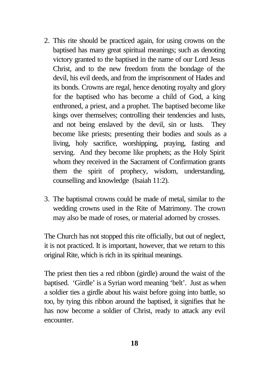- 2. This rite should be practiced again, for using crowns on the baptised has many great spiritual meanings; such as denoting victory granted to the baptised in the name of our Lord Jesus Christ, and to the new freedom from the bondage of the devil, his evil deeds, and from the imprisonment of Hades and its bonds. Crowns are regal, hence denoting royalty and glory for the baptised who has become a child of God, a king enthroned, a priest, and a prophet. The baptised become like kings over themselves; controlling their tendencies and lusts, and not being enslaved by the devil, sin or lusts. They become like priests; presenting their bodies and souls as a living, holy sacrifice, worshipping, praying, fasting and serving. And they become like prophets; as the Holy Spirit whom they received in the Sacrament of Confirmation grants them the spirit of prophecy, wisdom, understanding, counselling and knowledge (Isaiah 11:2).
- 3. The baptismal crowns could be made of metal, similar to the wedding crowns used in the Rite of Matrimony. The crown may also be made of roses, or material adorned by crosses.

The Church has not stopped this rite officially, but out of neglect, it is not practiced. It is important, however, that we return to this original Rite, which is rich in its spiritual meanings.

The priest then ties a red ribbon (girdle) around the waist of the baptised. 'Girdle' is a Syrian word meaning 'belt'. Just as when a soldier ties a girdle about his waist before going into battle, so too, by tying this ribbon around the baptised, it signifies that he has now become a soldier of Christ, ready to attack any evil encounter.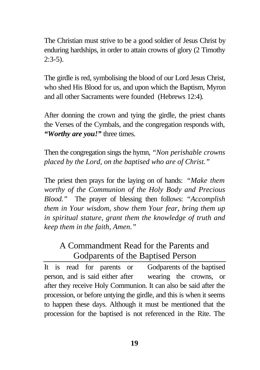The Christian must strive to be a good soldier of Jesus Christ by enduring hardships, in order to attain crowns of glory (2 Timothy  $2:3-5$ ).

The girdle is red, symbolising the blood of our Lord Jesus Christ, who shed His Blood for us, and upon which the Baptism, Myron and all other Sacraments were founded (Hebrews 12:4)*.*

After donning the crown and tying the girdle, the priest chants the Verses of the Cymbals, and the congregation responds with, *"Worthy are you!"* three times.

Then the congregation sings the hymn, *"Non perishable crowns placed by the Lord, on the baptised who are of Christ."*

The priest then prays for the laying on of hands: *"Make them worthy of the Communion of the Holy Body and Precious Blood."* The prayer of blessing then follows: *"Accomplish them in Your wisdom, show them Your fear, bring them up in spiritual stature, grant them the knowledge of truth and keep them in the faith, Amen."*

# A Commandment Read for the Parents and Godparents of the Baptised Person

It is read for parents or Godparents of the baptised person, and is said either after wearing the crowns, or after they receive Holy Communion. It can also be said after the procession, or before untying the girdle, and this is when it seems to happen these days. Although it must be mentioned that the procession for the baptised is not referenced in the Rite. The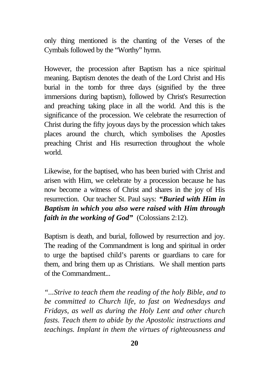only thing mentioned is the chanting of the Verses of the Cymbals followed by the "Worthy" hymn.

However, the procession after Baptism has a nice spiritual meaning. Baptism denotes the death of the Lord Christ and His burial in the tomb for three days (signified by the three immersions during baptism), followed by Christ's Resurrection and preaching taking place in all the world. And this is the significance of the procession. We celebrate the resurrection of Christ during the fifty joyous days by the procession which takes places around the church, which symbolises the Apostles preaching Christ and His resurrection throughout the whole world.

Likewise, for the baptised, who has been buried with Christ and arisen with Him, we celebrate by a procession because he has now become a witness of Christ and shares in the joy of His resurrection. Our teacher St. Paul says: *"Buried with Him in Baptism in which you also were raised with Him through faith in the working of God"* (Colossians 2:12).

Baptism is death, and burial, followed by resurrection and joy. The reading of the Commandment is long and spiritual in order to urge the baptised child's parents or guardians to care for them, and bring them up as Christians. We shall mention parts of the Commandment...

*"...Strive to teach them the reading of the holy Bible, and to be committed to Church life, to fast on Wednesdays and Fridays, as well as during the Holy Lent and other church fasts. Teach them to abide by the Apostolic instructions and teachings. Implant in them the virtues of righteousness and*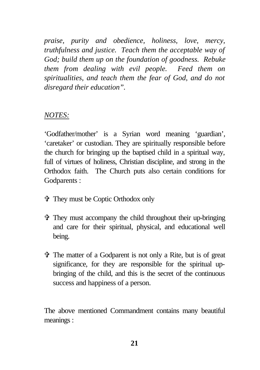*praise, purity and obedience, holiness, love, mercy, truthfulness and justice. Teach them the acceptable way of God; build them up on the foundation of goodness. Rebuke them from dealing with evil people. Feed them on spiritualities, and teach them the fear of God, and do not disregard their education".*

#### *NOTES:*

'Godfather/mother' is a Syrian word meaning 'guardian', 'caretaker' or custodian. They are spiritually responsible before the church for bringing up the baptised child in a spiritual way, full of virtues of holiness, Christian discipline, and strong in the Orthodox faith. The Church puts also certain conditions for Godparents :

- V They must be Coptic Orthodox only
- V They must accompany the child throughout their up-bringing and care for their spiritual, physical, and educational well being.
- V The matter of a Godparent is not only a Rite, but is of great significance, for they are responsible for the spiritual upbringing of the child, and this is the secret of the continuous success and happiness of a person.

The above mentioned Commandment contains many beautiful meanings :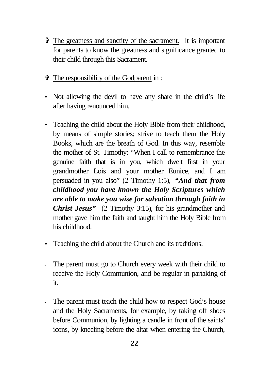- $\hat{\mathbf{\Phi}}$  The greatness and sanctity of the sacrament. It is important for parents to know the greatness and significance granted to their child through this Sacrament.
- V The responsibility of the Godparent in :
- Not allowing the devil to have any share in the child's life after having renounced him.
- Teaching the child about the Holy Bible from their childhood, by means of simple stories; strive to teach them the Holy Books, which are the breath of God. In this way, resemble the mother of St. Timothy: "When I call to remembrance the genuine faith that is in you, which dwelt first in your grandmother Lois and your mother Eunice, and I am persuaded in you also" (2 Timothy 1:5), *"And that from childhood you have known the Holy Scriptures which are able to make you wise for salvation through faith in Christ Jesus"* (2 Timothy 3:15), for his grandmother and mother gave him the faith and taught him the Holy Bible from his childhood.
- Teaching the child about the Church and its traditions:
- The parent must go to Church every week with their child to receive the Holy Communion, and be regular in partaking of it.
- The parent must teach the child how to respect God's house and the Holy Sacraments, for example, by taking off shoes before Communion, by lighting a candle in front of the saints' icons, by kneeling before the altar when entering the Church,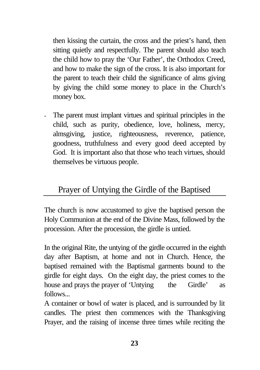then kissing the curtain, the cross and the priest's hand, then sitting quietly and respectfully. The parent should also teach the child how to pray the 'Our Father', the Orthodox Creed, and how to make the sign of the cross. It is also important for the parent to teach their child the significance of alms giving by giving the child some money to place in the Church's money box.

• The parent must implant virtues and spiritual principles in the child, such as purity, obedience, love, holiness, mercy, almsgiving, justice, righteousness, reverence, patience, goodness, truthfulness and every good deed accepted by God. It is important also that those who teach virtues, should themselves be virtuous people.

# Prayer of Untying the Girdle of the Baptised

The church is now accustomed to give the baptised person the Holy Communion at the end of the Divine Mass, followed by the procession. After the procession, the girdle is untied.

In the original Rite, the untying of the girdle occurred in the eighth day after Baptism, at home and not in Church. Hence, the baptised remained with the Baptismal garments bound to the girdle for eight days. On the eight day, the priest comes to the house and prays the prayer of 'Untying the Girdle' as follows...

A container or bowl of water is placed, and is surrounded by lit candles. The priest then commences with the Thanksgiving Prayer, and the raising of incense three times while reciting the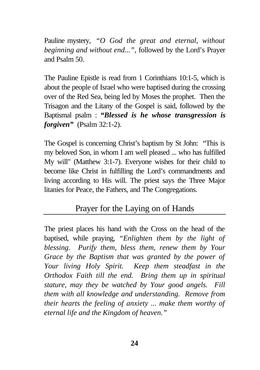Pauline mystery, *"O God the great and eternal, without beginning and without end...",* followed by the Lord's Prayer and Psalm 50.

The Pauline Epistle is read from 1 Corinthians 10:1-5, which is about the people of Israel who were baptised during the crossing over of the Red Sea, being led by Moses the prophet. Then the Trisagon and the Litany of the Gospel is said, followed by the Baptismal psalm : *"Blessed is he whose transgression is forgiven"* (Psalm 32:1-2).

The Gospel is concerning Christ's baptism by St John: "This is my beloved Son, in whom I am well pleased ... who has fulfilled My will" (Matthew 3:1-7). Everyone wishes for their child to become like Christ in fulfilling the Lord's commandments and living according to His will. The priest says the Three Major litanies for Peace, the Fathers, and The Congregations.

# Prayer for the Laying on of Hands

The priest places his hand with the Cross on the head of the baptised, while praying, *"Enlighten them by the light of blessing. Purify them, bless them, renew them by Your Grace by the Baptism that was granted by the power of Your living Holy Spirit. Keep them steadfast in the Orthodox Faith till the end. Bring them up in spiritual stature, may they be watched by Your good angels. Fill them with all knowledge and understanding. Remove from their hearts the feeling of anxiety ... make them worthy of eternal life and the Kingdom of heaven."*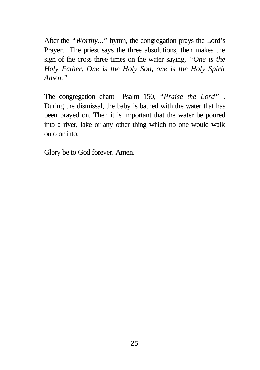After the *"Worthy..."* hymn, the congregation prays the Lord's Prayer. The priest says the three absolutions, then makes the sign of the cross three times on the water saying, *"One is the Holy Father, One is the Holy Son, one is the Holy Spirit Amen."*

The congregation chant Psalm 150, *"Praise the Lord"* . During the dismissal, the baby is bathed with the water that has been prayed on. Then it is important that the water be poured into a river, lake or any other thing which no one would walk onto or into.

Glory be to God forever. Amen.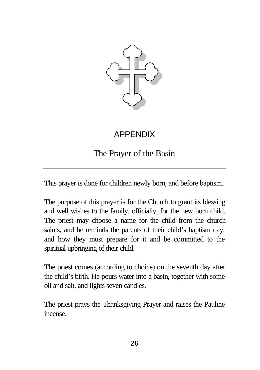

# APPENDIX

The Prayer of the Basin

This prayer is done for children newly born, and before baptism.

The purpose of this prayer is for the Church to grant its blessing and well wishes to the family, officially, for the new born child. The priest may choose a name for the child from the church saints, and he reminds the parents of their child's baptism day, and how they must prepare for it and be committed to the spiritual upbringing of their child.

The priest comes (according to choice) on the seventh day after the child's birth. He pours water into a basin, together with some oil and salt, and lights seven candles.

The priest prays the Thanksgiving Prayer and raises the Pauline incense.